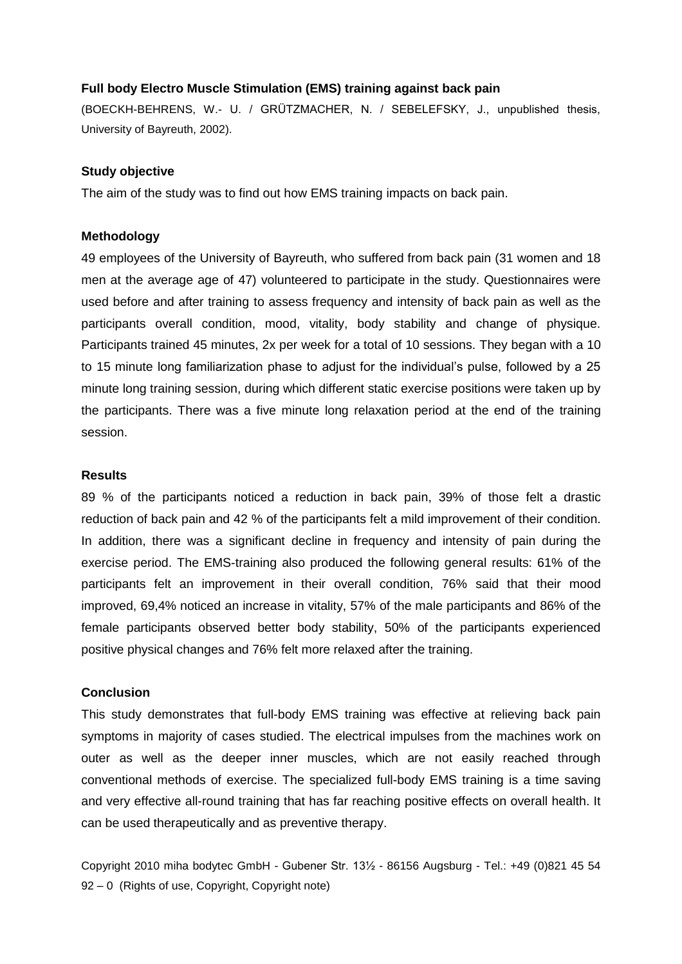# **Full body Electro Muscle Stimulation (EMS) training against back pain**

(BOECKH-BEHRENS, W.- U. / GRÜTZMACHER, N. / SEBELEFSKY, J., unpublished thesis, University of Bayreuth, 2002).

# **Study objective**

The aim of the study was to find out how EMS training impacts on back pain.

## **Methodology**

49 employees of the University of Bayreuth, who suffered from back pain (31 women and 18 men at the average age of 47) volunteered to participate in the study. Questionnaires were used before and after training to assess frequency and intensity of back pain as well as the participants overall condition, mood, vitality, body stability and change of physique. Participants trained 45 minutes, 2x per week for a total of 10 sessions. They began with a 10 to 15 minute long familiarization phase to adjust for the individual's pulse, followed by a 25 minute long training session, during which different static exercise positions were taken up by the participants. There was a five minute long relaxation period at the end of the training session.

## **Results**

89 % of the participants noticed a reduction in back pain, 39% of those felt a drastic reduction of back pain and 42 % of the participants felt a mild improvement of their condition. In addition, there was a significant decline in frequency and intensity of pain during the exercise period. The EMS-training also produced the following general results: 61% of the participants felt an improvement in their overall condition, 76% said that their mood improved, 69,4% noticed an increase in vitality, 57% of the male participants and 86% of the female participants observed better body stability, 50% of the participants experienced positive physical changes and 76% felt more relaxed after the training.

# **Conclusion**

This study demonstrates that full-body EMS training was effective at relieving back pain symptoms in majority of cases studied. The electrical impulses from the machines work on outer as well as the deeper inner muscles, which are not easily reached through conventional methods of exercise. The specialized full-body EMS training is a time saving and very effective all-round training that has far reaching positive effects on overall health. It can be used therapeutically and as preventive therapy.

Copyright 2010 miha bodytec GmbH - Gubener Str. 13½ - 86156 Augsburg - Tel.: +49 (0)821 45 54 92 – 0 (Rights of use, Copyright, Copyright note)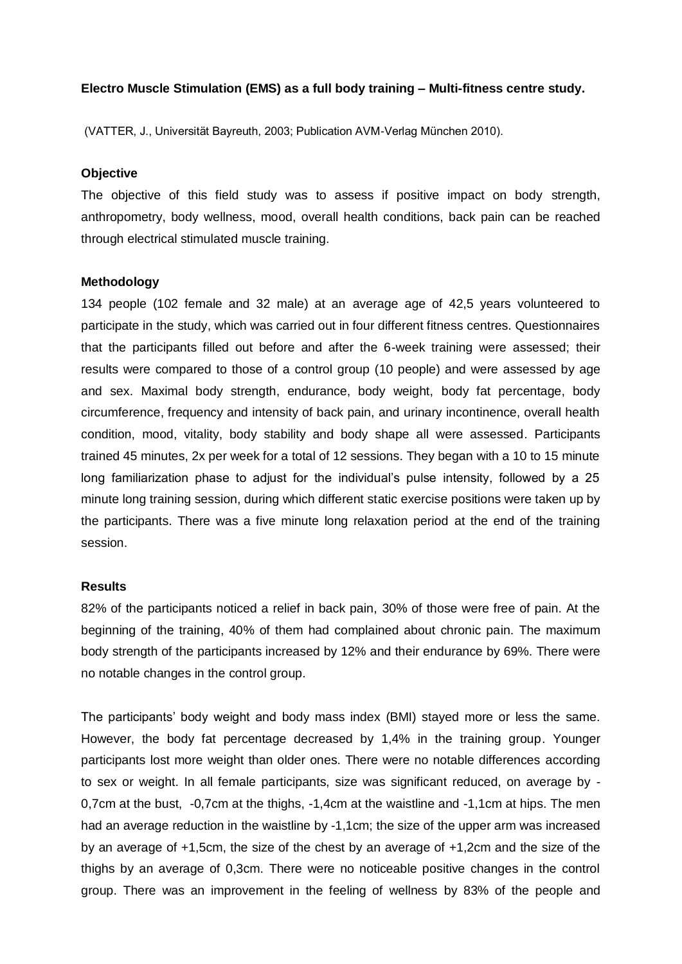# **Electro Muscle Stimulation (EMS) as a full body training – Multi-fitness centre study.**

(VATTER, J., Universität Bayreuth, 2003; Publication AVM-Verlag München 2010).

# **Objective**

The objective of this field study was to assess if positive impact on body strength, anthropometry, body wellness, mood, overall health conditions, back pain can be reached through electrical stimulated muscle training.

## **Methodology**

134 people (102 female and 32 male) at an average age of 42,5 years volunteered to participate in the study, which was carried out in four different fitness centres. Questionnaires that the participants filled out before and after the 6-week training were assessed; their results were compared to those of a control group (10 people) and were assessed by age and sex. Maximal body strength, endurance, body weight, body fat percentage, body circumference, frequency and intensity of back pain, and urinary incontinence, overall health condition, mood, vitality, body stability and body shape all were assessed. Participants trained 45 minutes, 2x per week for a total of 12 sessions. They began with a 10 to 15 minute long familiarization phase to adjust for the individual's pulse intensity, followed by a 25 minute long training session, during which different static exercise positions were taken up by the participants. There was a five minute long relaxation period at the end of the training session.

# **Results**

82% of the participants noticed a relief in back pain, 30% of those were free of pain. At the beginning of the training, 40% of them had complained about chronic pain. The maximum body strength of the participants increased by 12% and their endurance by 69%. There were no notable changes in the control group.

The participants' body weight and body mass index (BMI) stayed more or less the same. However, the body fat percentage decreased by 1,4% in the training group. Younger participants lost more weight than older ones. There were no notable differences according to sex or weight. In all female participants, size was significant reduced, on average by - 0,7cm at the bust, -0,7cm at the thighs, -1,4cm at the waistline and -1,1cm at hips. The men had an average reduction in the waistline by -1,1cm; the size of the upper arm was increased by an average of +1,5cm, the size of the chest by an average of +1,2cm and the size of the thighs by an average of 0,3cm. There were no noticeable positive changes in the control group. There was an improvement in the feeling of wellness by 83% of the people and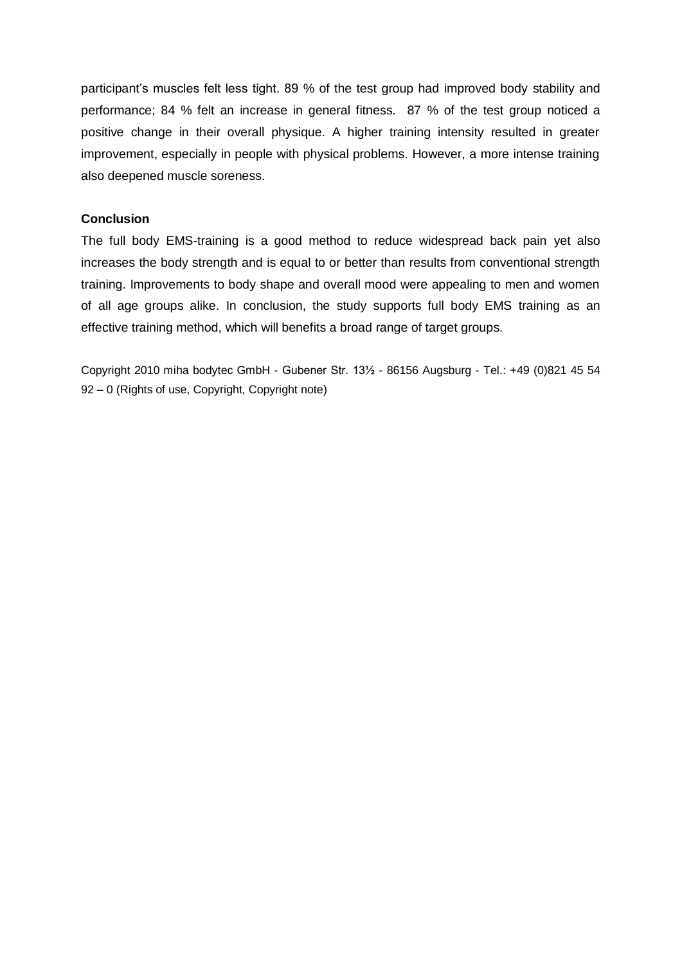participant's muscles felt less tight. 89 % of the test group had improved body stability and performance; 84 % felt an increase in general fitness. 87 % of the test group noticed a positive change in their overall physique. A higher training intensity resulted in greater improvement, especially in people with physical problems. However, a more intense training also deepened muscle soreness.

# **Conclusion**

The full body EMS-training is a good method to reduce widespread back pain yet also increases the body strength and is equal to or better than results from conventional strength training. Improvements to body shape and overall mood were appealing to men and women of all age groups alike. In conclusion, the study supports full body EMS training as an effective training method, which will benefits a broad range of target groups.

Copyright 2010 miha bodytec GmbH - Gubener Str. 13½ - 86156 Augsburg - Tel.: +49 (0)821 45 54 92 – 0 (Rights of use, Copyright, Copyright note)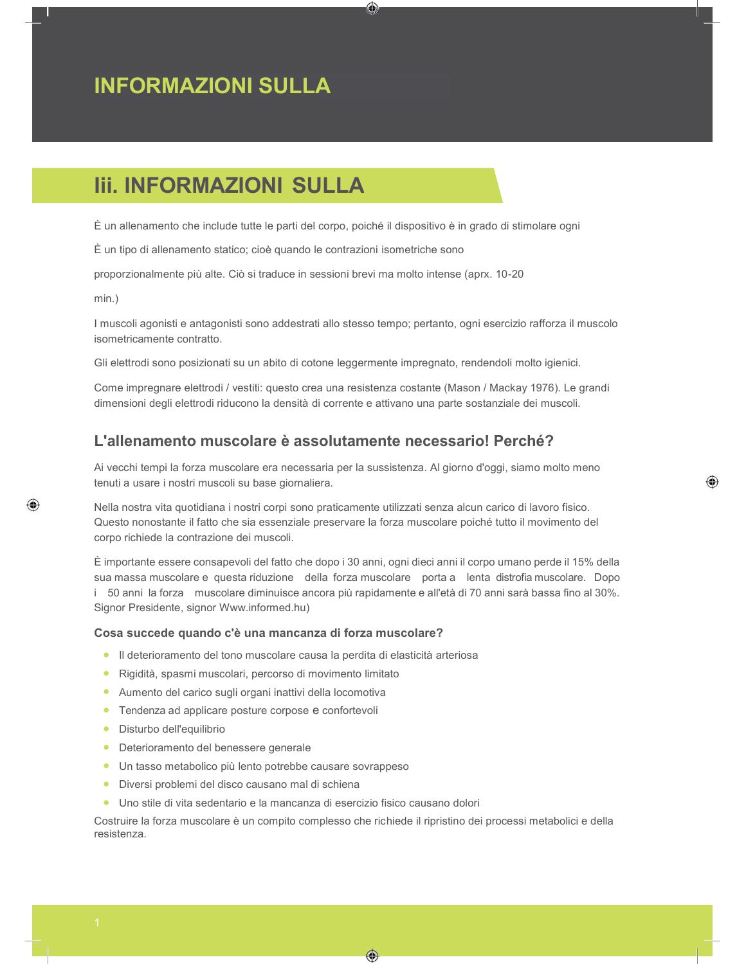# Iii. INFORMAZIONI SULLA

È un allenamento che include tutte le parti del corpo, poiché il dispositivo è in grado di stimolare ogni

⊙

È un tipo di allenamento statico; cioè quando le contrazioni isometriche sono

proporzionalmente più alte. Ciò si traduce in sessioni brevi ma molto intense (aprx. 10-20

min.)

I muscoli agonisti e antagonisti sono addestrati allo stesso tempo; pertanto, ogni esercizio rafforza il muscolo isometricamente contratto.

Gli elettrodi sono posizionati su un abito di cotone leggermente impregnato, rendendoli molto igienici.

Come impregnare elettrodi / vestiti: questo crea una resistenza costante (Mason / Mackay 1976). Le grandi dimensioni degli elettrodi riducono la densità di corrente e attivano una parte sostanziale dei muscoli.

# L'allenamento muscolare è assolutamente necessario! Perché?

Ai vecchi tempi la forza muscolare era necessaria per la sussistenza. Al giorno d'oggi, siamo molto meno tenuti a usare i nostri muscoli su base giornaliera.

◈

Nella nostra vita quotidiana i nostri corpi sono praticamente utilizzati senza alcun carico di lavoro fisico. Questo nonostante il fatto che sia essenziale preservare la forza muscolare poiché tutto il movimento del corpo richiede la contrazione dei muscoli.

È importante essere consapevoli del fatto che dopo i 30 anni, ogni dieci anni il corpo umano perde il 15% della sua massa muscolare e questa riduzione della forza muscolare porta a lenta distrofia muscolare. Dopo i 50 anni la forza muscolare diminuisce ancora più rapidamente e all'età di 70 anni sarà bassa fino al 30%. Signor Presidente, signor Www.informed.hu)

#### Cosa succede quando c'è una mancanza di forza muscolare?

- Il deterioramento del tono muscolare causa la perdita di elasticità arteriosa
- Rigidità, spasmi muscolari, percorso di movimento limitato
- Aumento del carico sugli organi inattivi della locomotiva
- **•** Tendenza ad applicare posture corpose e confortevoli
- Disturbo dell'equilibrio
- Deterioramento del benessere generale
- Un tasso metabolico più lento potrebbe causare sovrappeso
- Diversi problemi del disco causano mal di schiena
- Uno stile di vita sedentario e la mancanza di esercizio fisico causano dolori

Costruire la forza muscolare è un compito complesso che richiede il ripristino dei processi metabolici e della resistenza.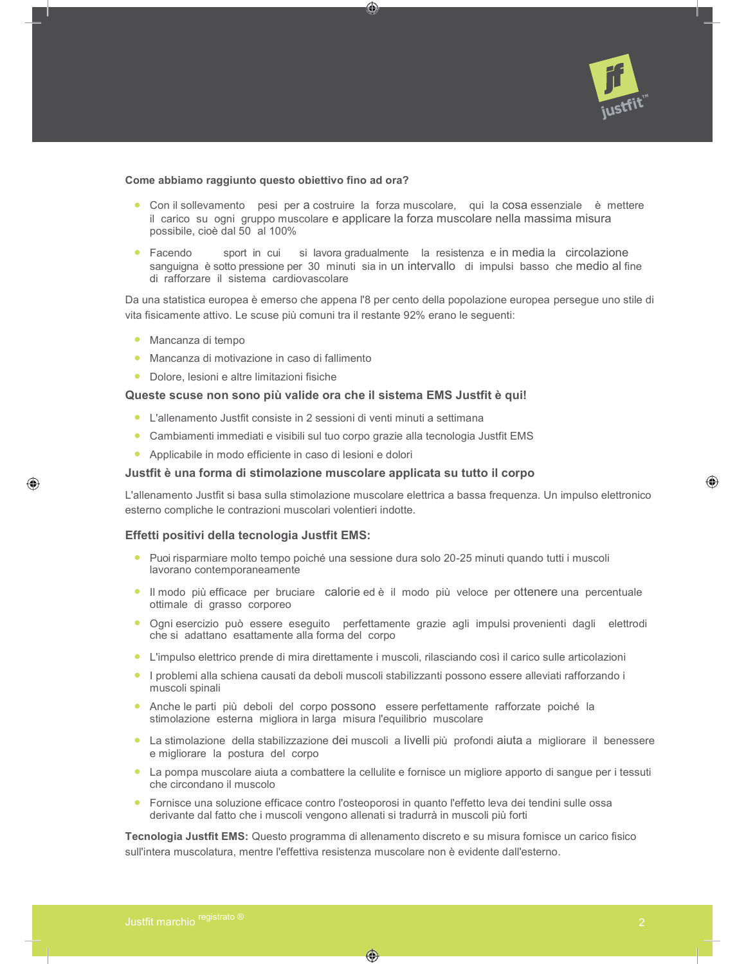

#### Come abbiamo raggiunto questo obiettivo fino ad ora?

Con il sollevamento pesi per a costruire la forza muscolare, qui la cosa essenziale è mettere il carico su ogni gruppo muscolare e applicare la forza muscolare nella massima misura possibile, cioè dal 50 al 100%

⊙

Facendo sport in cui si lavora gradualmente la resistenza e in media la circolazione sanguigna è sotto pressione per 30 minuti sia in un intervallo di impulsi basso che medio al fine di rafforzare il sistema cardiovascolare

Da una statistica europea è emerso che appena l'8 per cento della popolazione europea persegue uno stile di vita fisicamente attivo. Le scuse più comuni tra il restante 92% erano le seguenti:

**Mancanza di tempo** 

⊕

- Mancanza di motivazione in caso di fallimento
- Dolore, lesioni e altre limitazioni fisiche

## Queste scuse non sono più valide ora che il sistema EMS Justfit è qui!

- L'allenamento Justfit consiste in 2 sessioni di venti minuti a settimana
- Cambiamenti immediati e visibili sul tuo corpo grazie alla tecnologia Justfit EMS
- Applicabile in modo efficiente in caso di lesioni e dolori

#### Justfit è una forma di stimolazione muscolare applicata su tutto il corpo

L'allenamento Justfit si basa sulla stimolazione muscolare elettrica a bassa frequenza. Un impulso elettronico esterno compliche le contrazioni muscolari volentieri indotte.

#### Effetti positivi della tecnologia Justfit EMS:

- Puoi risparmiare molto tempo poiché una sessione dura solo 20-25 minuti quando tutti i muscoli lavorano contemporaneamente
- Il modo più efficace per bruciare calorie ed è il modo più veloce per ottenere una percentuale ottimale di grasso corporeo
- Ogni esercizio può essere eseguito perfettamente grazie agli impulsi provenienti dagli elettrodi che si adattano esattamente alla forma del corpo
- L'impulso elettrico prende di mira direttamente i muscoli, rilasciando così il carico sulle articolazioni
- I problemi alla schiena causati da deboli muscoli stabilizzanti possono essere alleviati rafforzando i muscoli spinali
- Anche le parti più deboli del corpo possono essere perfettamente rafforzate poiché la stimolazione esterna migliora in larga misura l'equilibrio muscolare
- La stimolazione della stabilizzazione dei muscoli a livelli più profondi aiuta a migliorare il benessere e migliorare la postura del corpo
- La pompa muscolare aiuta a combattere la cellulite e fornisce un migliore apporto di sangue per i tessuti che circondano il muscolo
- Fornisce una soluzione efficace contro l'osteoporosi in quanto l'effetto leva dei tendini sulle ossa derivante dal fatto che i muscoli vengono allenati si tradurrà in muscoli più forti

⊕

Tecnologia Justfit EMS: Questo programma di allenamento discreto e su misura fornisce un carico fisico sull'intera muscolatura, mentre l'effettiva resistenza muscolare non è evidente dall'esterno.

⊛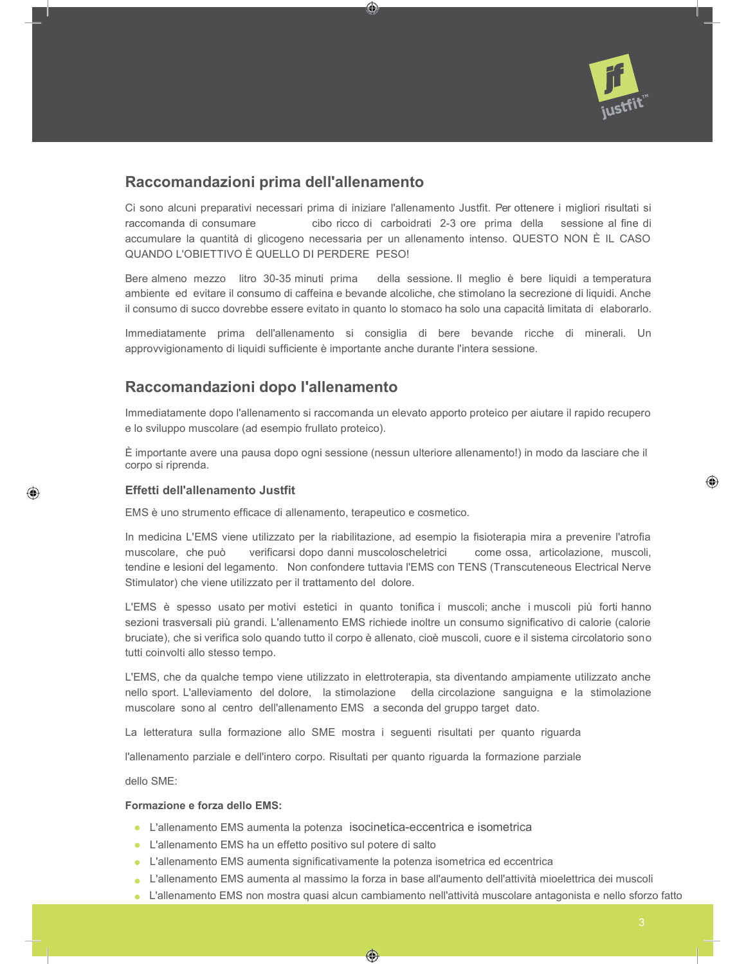

# Raccomandazioni prima dell'allenamento

Ci sono alcuni preparativi necessari prima di iniziare l'allenamento Justfit. Per ottenere i migliori risultati si raccomanda di consumare cibo ricco di carboidrati 2-3 ore prima della sessione al fine di accumulare la quantità di glicogeno necessaria per un allenamento intenso. QUESTO NON È IL CASO QUANDO L'OBIETTIVO È QUELLO DI PERDERE PESO!

⊙

Bere almeno mezzo litro 30-35 minuti prima della sessione. Il meglio è bere liquidi a temperatura ambiente ed evitare il consumo di caffeina e bevande alcoliche, che stimolano la secrezione di liquidi. Anche il consumo di succo dovrebbe essere evitato in quanto lo stomaco ha solo una capacità limitata di elaborarlo.

Immediatamente prima dell'allenamento si consiglia di bere bevande ricche di minerali. Un approvvigionamento di liquidi sufficiente è importante anche durante l'intera sessione.

# Raccomandazioni dopo l'allenamento

Immediatamente dopo l'allenamento si raccomanda un elevato apporto proteico per aiutare il rapido recupero e lo sviluppo muscolare (ad esempio frullato proteico).

È importante avere una pausa dopo ogni sessione (nessun ulteriore allenamento!) in modo da lasciare che il corpo si riprenda.

#### Effetti dell'allenamento Justfit

EMS è uno strumento efficace di allenamento, terapeutico e cosmetico.

In medicina L'EMS viene utilizzato per la riabilitazione, ad esempio la fisioterapia mira a prevenire l'atrofia muscolare, che può verificarsi dopo danni muscoloscheletrici come ossa, articolazione, muscoli, tendine e lesioni del legamento. Non confondere tuttavia l'EMS con TENS (Transcuteneous Electrical Nerve Stimulator) che viene utilizzato per il trattamento del dolore.

L'EMS è spesso usato per motivi estetici in quanto tonifica i muscoli; anche i muscoli più forti hanno sezioni trasversali più grandi. L'allenamento EMS richiede inoltre un consumo significativo di calorie (calorie bruciate), che si verifica solo quando tutto il corpo è allenato, cioè muscoli, cuore e il sistema circolatorio sono tutti coinvolti allo stesso tempo.

L'EMS, che da qualche tempo viene utilizzato in elettroterapia, sta diventando ampiamente utilizzato anche nello sport. L'alleviamento del dolore, la stimolazione della circolazione sanguigna e la stimolazione muscolare sono al centro dell'allenamento EMS a seconda del gruppo target dato.

La letteratura sulla formazione allo SME mostra i seguenti risultati per quanto riguarda

l'allenamento parziale e dell'intero corpo. Risultati per quanto riguarda la formazione parziale

dello SME:

◈

#### Formazione e forza dello **EMS**:

- L'allenamento EMS aumenta la potenza isocinetica-eccentrica e isometrica
- L'allenamento EMS ha un effetto positivo sul potere di salto
- L'allenamento EMS aumenta significativamente la potenza isometrica ed eccentrica
- L'allenamento EMS aumenta al massimo la forza in base all'aumento dell'attività mioelettrica dei muscoli

◈

L'allenamento EMS non mostra quasi alcun cambiamento nell'attività muscolare antagonista e nello sforzo fatto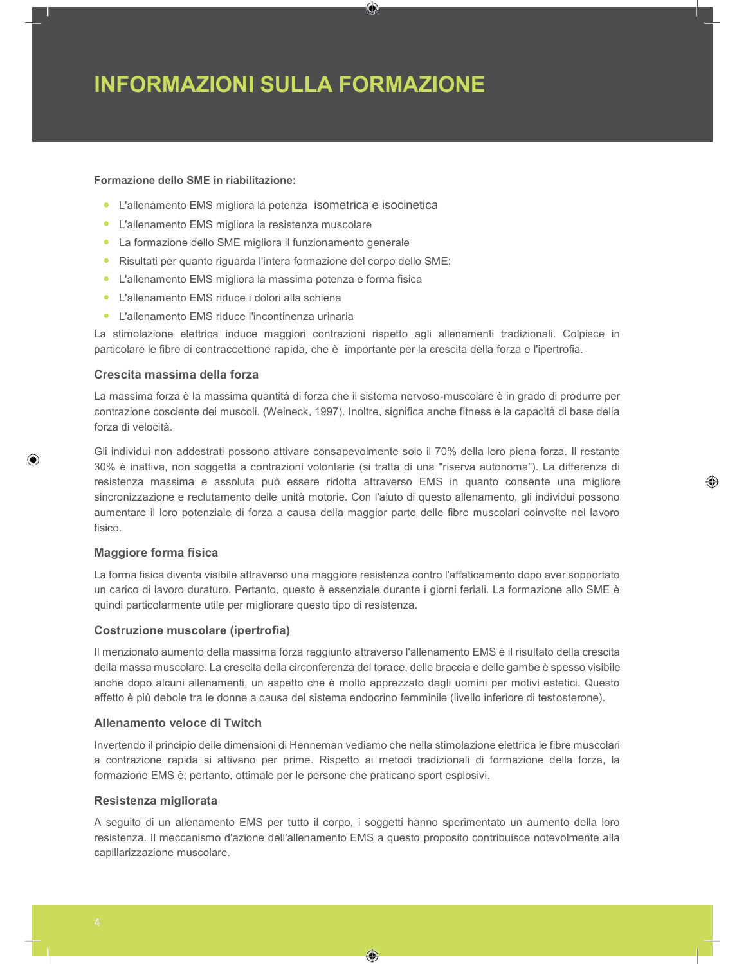# INFORMAZIONI SULLA FORMAZIONE

## Formazione dello SME in riabilitazione:

- L'allenamento EMS migliora la potenza isometrica e isocinetica
- L'allenamento EMS migliora la resistenza muscolare
- La formazione dello SME migliora il funzionamento generale
- Risultati per quanto riguarda l'intera formazione del corpo dello SME:
- L'allenamento EMS migliora la massima potenza e forma fisica
- L'allenamento EMS riduce i dolori alla schiena
- L'allenamento EMS riduce l'incontinenza urinaria

La stimolazione elettrica induce maggiori contrazioni rispetto agli allenamenti tradizionali. Colpisce in particolare le fibre di contraccettione rapida, che è importante per la crescita della forza e l'ipertrofia.

⊙

#### Crescita massima della forza

La massima forza è la massima quantità di forza che il sistema nervoso-muscolare è in grado di produrre per contrazione cosciente dei muscoli. (Weineck, 1997). Inoltre, significa anche fitness e la capacità di base della forza di velocità.

Gli individui non addestrati possono attivare consapevolmente solo il 70% della loro piena forza. Il restante 30% è inattiva, non soggetta a contrazioni volontarie (si tratta di una "riserva autonoma"). La differenza di resistenza massima e assoluta può essere ridotta attraverso EMS in quanto consente una migliore sincronizzazione e reclutamento delle unità motorie. Con l'aiuto di questo allenamento, gli individui possono aumentare il loro potenziale di forza a causa della maggior parte delle fibre muscolari coinvolte nel lavoro fisico.

⊛

#### Maggiore forma fisica

◈

La forma fisica diventa visibile attraverso una maggiore resistenza contro l'affaticamento dopo aver sopportato un carico di lavoro duraturo. Pertanto, questo è essenziale durante i giorni feriali. La formazione allo SME è quindi particolarmente utile per migliorare questo tipo di resistenza.

#### Costruzione muscolare (ipertrofia)

Il menzionato aumento della massima forza raggiunto attraverso l'allenamento EMS è il risultato della crescita della massa muscolare. La crescita della circonferenza del torace, delle braccia e delle gambe è spesso visibile anche dopo alcuni allenamenti, un aspetto che è molto apprezzato dagli uomini per motivi estetici. Questo effetto è più debole tra le donne a causa del sistema endocrino femminile (livello inferiore di testosterone).

#### Allenamento veloce di Twitch

Invertendo il principio delle dimensioni di Henneman vediamo che nella stimolazione elettrica le fibre muscolari a contrazione rapida si attivano per prime. Rispetto ai metodi tradizionali di formazione della forza, la formazione EMS è; pertanto, ottimale per le persone che praticano sport esplosivi.

#### Resistenza migliorata

A seguito di un allenamento EMS per tutto il corpo, i soggetti hanno sperimentato un aumento della loro resistenza. Il meccanismo d'azione dell'allenamento EMS a questo proposito contribuisce notevolmente alla capillarizzazione muscolare.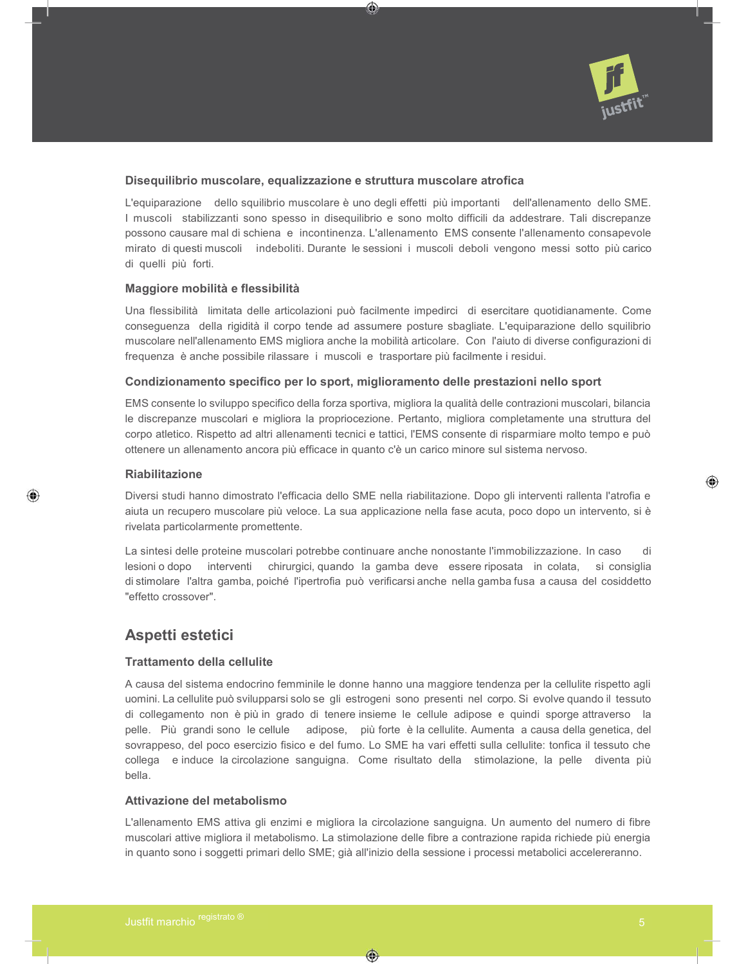

### Disequilibrio muscolare, equalizzazione e struttura muscolare atrofica

L'equiparazione dello squilibrio muscolare è uno degli effetti più importanti dell'allenamento dello SME. I muscoli stabilizzanti sono spesso in disequilibrio e sono molto difficili da addestrare. Tali discrepanze possono causare mal di schiena e incontinenza. L'allenamento EMS consente l'allenamento consapevole mirato di questi muscoli indeboliti. Durante le sessioni i muscoli deboli vengono messi sotto più carico di quelli più forti.

⊙

#### Maggiore mobilità e flessibilità

Una flessibilità limitata delle articolazioni può facilmente impedirci di esercitare quotidianamente. Come conseguenza della rigidità il corpo tende ad assumere posture sbagliate. L'equiparazione dello squilibrio muscolare nell'allenamento EMS migliora anche la mobilità articolare. Con l'aiuto di diverse configurazioni di frequenza è anche possibile rilassare i muscoli e trasportare più facilmente i residui.

#### Condizionamento specifico per lo sport, miglioramento delle prestazioni nello sport

EMS consente lo sviluppo specifico della forza sportiva, migliora la qualità delle contrazioni muscolari, bilancia le discrepanze muscolari e migliora la propriocezione. Pertanto, migliora completamente una struttura del corpo atletico. Rispetto ad altri allenamenti tecnici e tattici, l'EMS consente di risparmiare molto tempo e può ottenere un allenamento ancora più efficace in quanto c'è un carico minore sul sistema nervoso.

### Riabilitazione

◈

Diversi studi hanno dimostrato l'efficacia dello SME nella riabilitazione. Dopo gli interventi rallenta l'atrofia e aiuta un recupero muscolare più veloce. La sua applicazione nella fase acuta, poco dopo un intervento, si è rivelata particolarmente promettente.

La sintesi delle proteine muscolari potrebbe continuare anche nonostante l'immobilizzazione. In caso di lesioni o dopo interventi chirurgici, quando la gamba deve essere riposata in colata, si consiglia di stimolare l'altra gamba, poiché l'ipertrofia può verificarsi anche nella gamba fusa a causa del cosiddetto "effetto crossover".

## Aspetti estetici

## Trattamento della cellulite

A causa del sistema endocrino femminile le donne hanno una maggiore tendenza per la cellulite rispetto agli uomini. La cellulite può svilupparsi solo se gli estrogeni sono presenti nel corpo. Si evolve quando il tessuto di collegamento non è più in grado di tenere insieme le cellule adipose e quindi sporge attraverso la pelle. Più grandi sono le cellule adipose, più forte è la cellulite. Aumenta a causa della genetica, del sovrappeso, del poco esercizio fisico e del fumo. Lo SME ha vari effetti sulla cellulite: tonfica il tessuto che collega e induce la circolazione sanguigna. Come risultato della stimolazione, la pelle diventa più bella.

#### Attivazione del metabolismo

L'allenamento EMS attiva gli enzimi e migliora la circolazione sanguigna. Un aumento del numero di fibre muscolari attive migliora il metabolismo. La stimolazione delle fibre a contrazione rapida richiede più energia in quanto sono i soggetti primari dello SME; già all'inizio della sessione i processi metabolici accelereranno.

◈

◈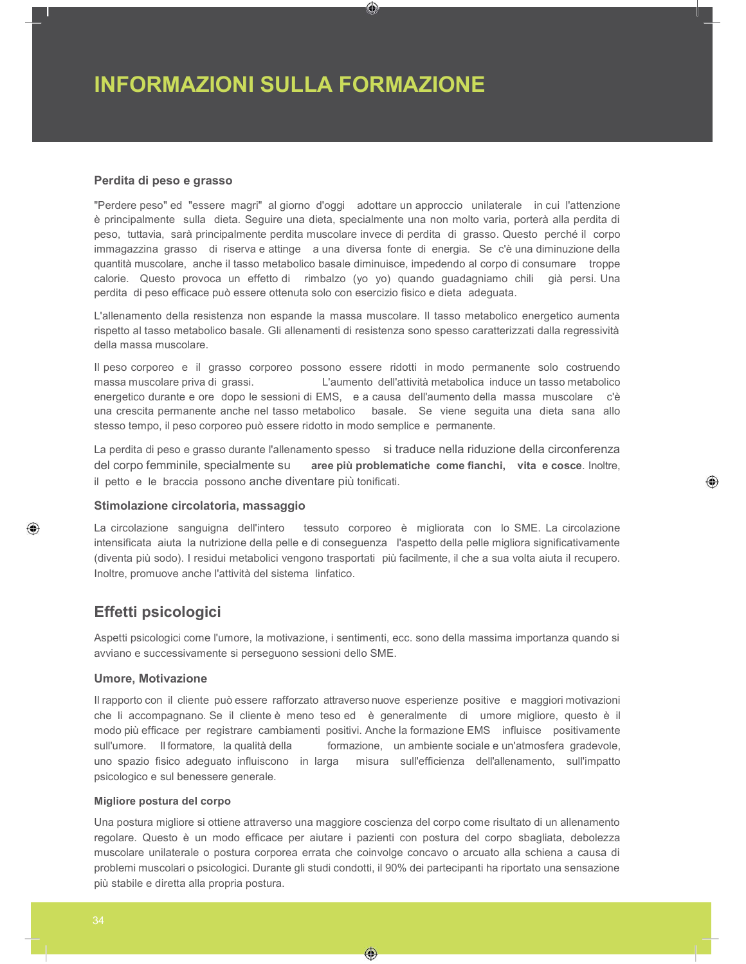# INFORMAZIONI SULLA FORMAZIONE

#### Perdita di peso e grasso

"Perdere peso" ed "essere magri" al giorno d'oggi adottare un approccio unilaterale in cui l'attenzione è principalmente sulla dieta. Seguire una dieta, specialmente una non molto varia, porterà alla perdita di peso, tuttavia, sarà principalmente perdita muscolare invece di perdita di grasso. Questo perché il corpo immagazzina grasso di riserva e attinge a una diversa fonte di energia. Se c'è una diminuzione della quantità muscolare, anche il tasso metabolico basale diminuisce, impedendo al corpo di consumare troppe calorie. Questo provoca un effetto di rimbalzo (yo yo) quando guadagniamo chili già persi. Una perdita di peso efficace può essere ottenuta solo con esercizio fisico e dieta adeguata.

⊙

L'allenamento della resistenza non espande la massa muscolare. Il tasso metabolico energetico aumenta rispetto al tasso metabolico basale. Gli allenamenti di resistenza sono spesso caratterizzati dalla regressività della massa muscolare.

Il peso corporeo e il grasso corporeo possono essere ridotti in modo permanente solo costruendo massa muscolare priva di grassi. L'aumento dell'attività metabolica induce un tasso metabolico energetico durante e ore dopo le sessioni di EMS, e a causa dell'aumento della massa muscolare c'è una crescita permanente anche nel tasso metabolico basale. Se viene seguita una dieta sana allo stesso tempo, il peso corporeo può essere ridotto in modo semplice e permanente.

La perdita di peso e grasso durante l'allenamento spesso si traduce nella riduzione della circonferenza del corpo femminile, specialmente su aree più problematiche come fianchi, vita e cosce. Inoltre, il petto e le braccia possono anche diventare più tonificati.

◈

#### Stimolazione circolatoria, massaggio

La circolazione sanguigna dell'intero tessuto corporeo è migliorata con lo SME. La circolazione intensificata aiuta la nutrizione della pelle e di conseguenza l'aspetto della pelle migliora significativamente (diventa più sodo). I residui metabolici vengono trasportati più facilmente, il che a sua volta aiuta il recupero. Inoltre, promuove anche l'attività del sistema linfatico.

# Effetti psicologici

Aspetti psicologici come l'umore, la motivazione, i sentimenti, ecc. sono della massima importanza quando si avviano e successivamente si perseguono sessioni dello SME.

#### Umore, Motivazione

Il rapporto con il cliente può essere rafforzato attraverso nuove esperienze positive e maggiori motivazioni che li accompagnano. Se il cliente è meno teso ed è generalmente di umore migliore, questo è il modo più efficace per registrare cambiamenti positivi. Anche la formazione EMS influisce positivamente sull'umore. Il formatore, la qualità della formazione, un ambiente sociale e un'atmosfera gradevole, uno spazio fisico adeguato influiscono in larga misura sull'efficienza dell'allenamento, sull'impatto psicologico e sul benessere generale.

#### Migliore postura del corpo

Una postura migliore si ottiene attraverso una maggiore coscienza del corpo come risultato di un allenamento regolare. Questo è un modo efficace per aiutare i pazienti con postura del corpo sbagliata, debolezza muscolare unilaterale o postura corporea errata che coinvolge concavo o arcuato alla schiena a causa di problemi muscolari o psicologici. Durante gli studi condotti, il 90% dei partecipanti ha riportato una sensazione più stabile e diretta alla propria postura.

EMS, poiché rafforza la resistenza contro la fatica e la capacità di rilassarsi.

◈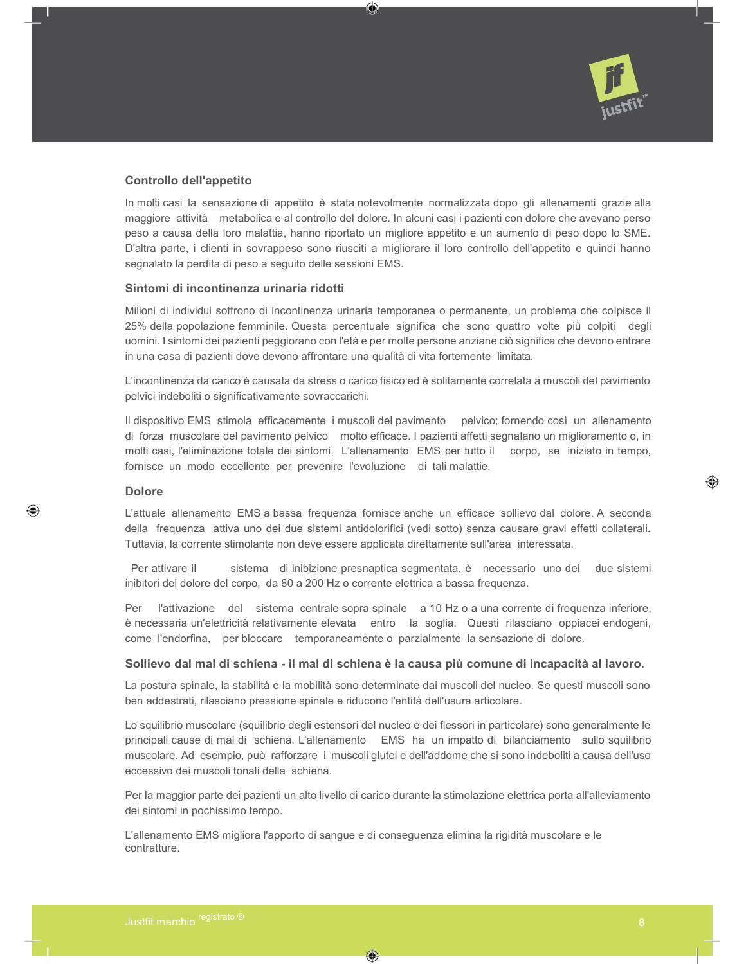

## Controllo dell'appetito

In molti casi la sensazione di appetito è stata notevolmente normalizzata dopo gli allenamenti grazie alla maggiore attività metabolica e al controllo del dolore. In alcuni casi i pazienti con dolore che avevano perso peso a causa della loro malattia, hanno riportato un migliore appetito e un aumento di peso dopo lo SME. D'altra parte, i clienti in sovrappeso sono riusciti a migliorare il loro controllo dell'appetito e quindi hanno segnalato la perdita di peso a seguito delle sessioni EMS.

⊙

#### Sintomi di incontinenza urinaria ridotti

Milioni di individui soffrono di incontinenza urinaria temporanea o permanente, un problema che colpisce il 25% della popolazione femminile. Questa percentuale significa che sono quattro volte più colpiti degli uomini. I sintomi dei pazienti peggiorano con l'età e per molte persone anziane ciò significa che devono entrare in una casa di pazienti dove devono affrontare una qualità di vita fortemente limitata.

L'incontinenza da carico è causata da stress o carico fisico ed è solitamente correlata a muscoli del pavimento pelvici indeboliti o significativamente sovraccarichi.

Il dispositivo EMS stimola efficacemente i muscoli del pavimento pelvico; fornendo così un allenamento di forza muscolare del pavimento pelvico molto efficace. I pazienti affetti segnalano un miglioramento o, in molti casi, l'eliminazione totale dei sintomi. L'allenamento EMS per tutto il corpo, se iniziato in tempo, fornisce un modo eccellente per prevenire l'evoluzione di tali malattie.

#### Dolore

⊕

L'attuale allenamento EMS a bassa frequenza fornisce anche un efficace sollievo dal dolore. A seconda della frequenza attiva uno dei due sistemi antidolorifici (vedi sotto) senza causare gravi effetti collaterali. Tuttavia, la corrente stimolante non deve essere applicata direttamente sull'area interessata.

Per attivare il sistema di inibizione presnaptica segmentata, è necessario uno dei due sistemi inibitori del dolore del corpo, da 80 a 200 Hz o corrente elettrica a bassa frequenza.

Per l'attivazione del sistema centrale sopra spinale a 10 Hz o a una corrente di frequenza inferiore, è necessaria un'elettricità relativamente elevata entro la soglia. Questi rilasciano oppiacei endogeni, come l'endorfina, per bloccare temporaneamente o parzialmente la sensazione di dolore.

#### Sollievo dal mal di schiena - il mal di schiena è la causa più comune di incapacità al lavoro.

La postura spinale, la stabilità e la mobilità sono determinate dai muscoli del nucleo. Se questi muscoli sono ben addestrati, rilasciano pressione spinale e riducono l'entità dell'usura articolare.

Lo squilibrio muscolare (squilibrio degli estensori del nucleo e dei flessori in particolare) sono generalmente le principali cause di mal di schiena. L'allenamento EMS ha un impatto di bilanciamento sullo squilibrio muscolare. Ad esempio, può rafforzare i muscoli glutei e dell'addome che si sono indeboliti a causa dell'uso eccessivo dei muscoli tonali della schiena.

Per la maggior parte dei pazienti un alto livello di carico durante la stimolazione elettrica porta all'alleviamento dei sintomi in pochissimo tempo.

L'allenamento EMS migliora l'apporto di sangue e di conseguenza elimina la rigidità muscolare e le contratture.

◈